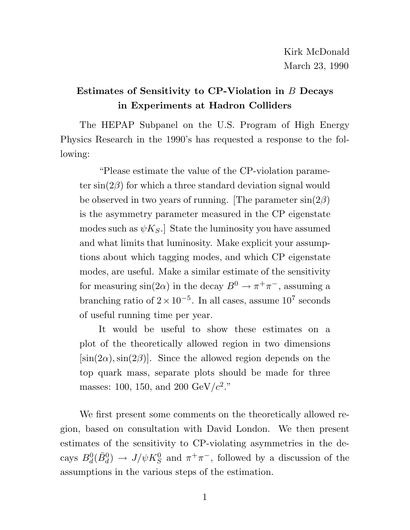### **Estimates of Sensitivity to CP-Violation in** B **Decays in Experiments at Hadron Colliders**

The HEPAP Subpanel on the U.S. Program of High Energy Physics Research in the 1990's has requested a response to the following:

"Please estimate the value of the CP-violation parameter  $\sin(2\beta)$  for which a three standard deviation signal would be observed in two years of running. [The parameter  $sin(2\beta)$ ] is the asymmetry parameter measured in the CP eigenstate modes such as  $\psi K_S$ . State the luminosity you have assumed and what limits that luminosity. Make explicit your assumptions about which tagging modes, and which CP eigenstate modes, are useful. Make a similar estimate of the sensitivity for measuring  $sin(2\alpha)$  in the decay  $B^0 \to \pi^+\pi^-$ , assuming a branching ratio of  $2 \times 10^{-5}$ . In all cases, assume  $10^7$  seconds of useful running time per year.

It would be useful to show these estimates on a plot of the theoretically allowed region in two dimensions  $[\sin(2\alpha), \sin(2\beta)]$ . Since the allowed region depends on the top quark mass, separate plots should be made for three masses: 100, 150, and 200  $\mathrm{GeV}/c^{2}."$ 

We first present some comments on the theoretically allowed region, based on consultation with David London. We then present estimates of the sensitivity to CP-violating asymmetries in the decays  $B_d^0(\bar{B}_d^0) \to J/\psi K_S^0$  and  $\pi^+\pi^-$ , followed by a discussion of the assumptions in the various steps of the estimation.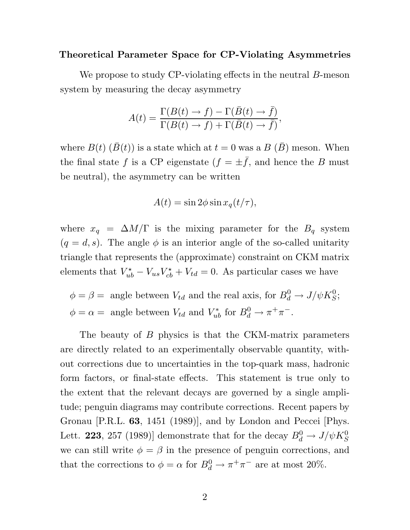#### **Theoretical Parameter Space for CP-Violating Asymmetries**

We propose to study CP-violating effects in the neutral B-meson system by measuring the decay asymmetry

$$
A(t) = \frac{\Gamma(B(t) \to f) - \Gamma(\bar{B}(t) \to \bar{f})}{\Gamma(B(t) \to f) + \Gamma(\bar{B}(t) \to \bar{f})},
$$

where  $B(t)$   $(B(t))$  is a state which at  $t = 0$  was a  $B(B)$  meson. When the final state f is a CP eigenstate  $(f = \pm \bar{f})$ , and hence the B must be neutral), the asymmetry can be written

$$
A(t) = \sin 2\phi \sin x_q(t/\tau),
$$

where  $x_q = \Delta M/\Gamma$  is the mixing parameter for the  $B_q$  system  $(q = d, s)$ . The angle  $\phi$  is an interior angle of the so-called unitarity triangle that represents the (approximate) constraint on CKM matrix elements that  $V_{ul}^{\star}$  $U_{ub}^{\star} - V_{us}V_{cb}^{\star}$  $C_{cb}^{\star} + V_{td} = 0$ . As particular cases we have

 $\phi = \beta = \text{angle between } V_{td} \text{ and the real axis, for } B_d^0 \to J/\psi K_S^0;$  $\phi = \alpha = \text{ angle between } V_{td} \text{ and } V_{ub}^* \text{ for } B_d^0 \to \pi^+ \pi^-$ .

The beauty of B physics is that the CKM-matrix parameters are directly related to an experimentally observable quantity, without corrections due to uncertainties in the top-quark mass, hadronic form factors, or final-state effects. This statement is true only to the extent that the relevant decays are governed by a single amplitude; penguin diagrams may contribute corrections. Recent papers by Gronau [P.R.L. **63**, 1451 (1989)], and by London and Peccei [Phys. Lett. **223**, 257 (1989)] demonstrate that for the decay  $B_d^0 \rightarrow J/\psi K_S^0$ we can still write  $\phi = \beta$  in the presence of penguin corrections, and that the corrections to  $\phi = \alpha$  for  $B_d^0 \to \pi^+ \pi^-$  are at most 20%.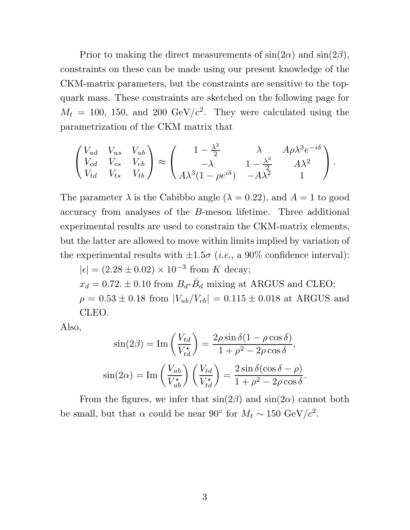Prior to making the direct measurements of  $\sin(2\alpha)$  and  $\sin(2\beta)$ , constraints on these can be made using our present knowledge of the CKM-matrix parameters, but the constraints are sensitive to the topquark mass. These constraints are sketched on the following page for  $M_t = 100, 150, \text{ and } 200 \text{ GeV}/c^2$ . They were calculated using the parametrization of the CKM matrix that

$$
\begin{pmatrix}\nV_{ud} & V_{us} & V_{ub} \\
V_{cd} & V_{cs} & V_{cb} \\
V_{td} & V_{ts} & V_{tb}\n\end{pmatrix} \approx \begin{pmatrix}\n1 - \frac{\lambda^2}{2} & \lambda & A\rho\lambda^3 e^{-i\delta} \\
-\lambda & 1 - \frac{\lambda^2}{2} & A\lambda^2 \\
A\lambda^3(1 - \rho e^{i\delta}) & -A\lambda^2 & 1\n\end{pmatrix}.
$$

The parameter  $\lambda$  is the Cabibbo angle ( $\lambda = 0.22$ ), and  $A = 1$  to good accuracy from analyses of the B-meson lifetime. Three additional experimental results are used to constrain the CKM-matrix elements, but the latter are allowed to move within limits implied by variation of the experimental results with  $\pm 1.5\sigma$  (*i.e.*, a 90% confidence interval):

 $|\epsilon| = (2.28 \pm 0.02) \times 10^{-3}$  from K decay;  $x_d = 0.72$ .  $\pm$  0.10 from  $B_d$ - $\bar{B}_d$  mixing at ARGUS and CLEO;  $\rho = 0.53 \pm 0.18$  from  $|V_{ub}/V_{cb}| = 0.115 \pm 0.018$  at ARGUS and CLEO.

Also,

$$
\sin(2\beta) = \text{Im}\left(\frac{V_{td}}{V_{td}^{\star}}\right) = \frac{2\rho\sin\delta(1-\rho\cos\delta)}{1+\rho^2-2\rho\cos\delta},
$$

$$
\sin(2\alpha) = \text{Im}\left(\frac{V_{ub}}{V_{ub}^{\star}}\right)\left(\frac{V_{td}}{V_{td}^{\star}}\right) = \frac{2\sin\delta(\cos\delta-\rho)}{1+\rho^2-2\rho\cos\delta}.
$$

From the figures, we infer that  $sin(2\beta)$  and  $sin(2\alpha)$  cannot both be small, but that  $\alpha$  could be near 90° for  $M_t \sim 150 \text{ GeV}/c^2$ .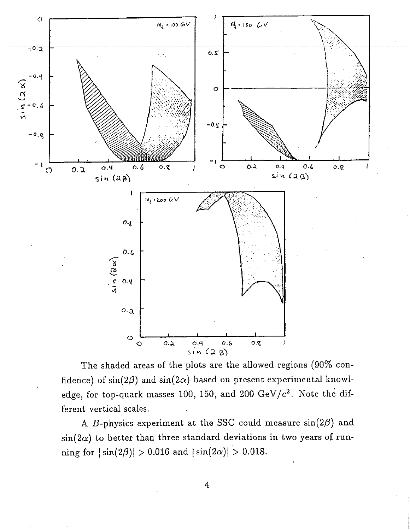

The shaded areas of the plots are the allowed regions (90% confidence) of  $sin(2\beta)$  and  $sin(2\alpha)$  based on present experimental knowledge, for top-quark masses 100, 150, and 200  $GeV/c^2$ . Note the different vertical scales.

A B-physics experiment at the SSC could measure  $sin(2\beta)$  and  $\sin(2\alpha)$  to better than three standard deviations in two years of running for  $|\sin(2\beta)| > 0.016$  and  $|\sin(2\alpha)| > 0.018$ .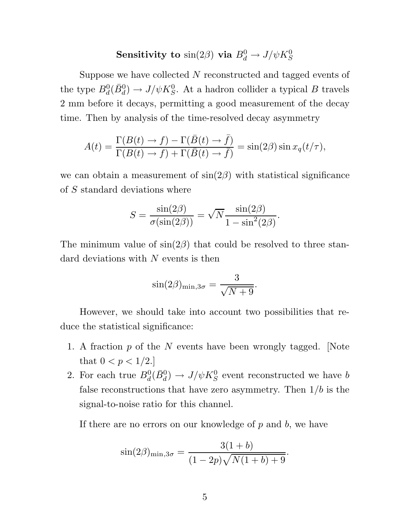# **Sensitivity to**  $\sin(2\beta)$  **via**  $B_d^0 \rightarrow J/\psi K_S^0$

Suppose we have collected N reconstructed and tagged events of the type  $B_d^0(\bar{B}_d^0) \to J/\psi K_S^0$ . At a hadron collider a typical B travels 2 mm before it decays, permitting a good measurement of the decay time. Then by analysis of the time-resolved decay asymmetry

$$
A(t) = \frac{\Gamma(B(t) \to f) - \Gamma(\bar{B}(t) \to \bar{f})}{\Gamma(B(t) \to f) + \Gamma(\bar{B}(t) \to \bar{f})} = \sin(2\beta)\sin x_q(t/\tau),
$$

we can obtain a measurement of  $sin(2\beta)$  with statistical significance of S standard deviations where

$$
S = \frac{\sin(2\beta)}{\sigma(\sin(2\beta))} = \sqrt{N} \frac{\sin(2\beta)}{1 - \sin^2(2\beta)}.
$$

The minimum value of  $sin(2\beta)$  that could be resolved to three standard deviations with  $N$  events is then

$$
\sin(2\beta)_{\min,3\sigma} = \frac{3}{\sqrt{N+9}}.
$$

However, we should take into account two possibilities that reduce the statistical significance:

- 1. A fraction  $p$  of the  $N$  events have been wrongly tagged. [Note that  $0 < p < 1/2$ .
- 2. For each true  $B_d^0(\bar{B}_d^0) \to J/\psi K_S^0$  event reconstructed we have b false reconstructions that have zero asymmetry. Then  $1/b$  is the signal-to-noise ratio for this channel.

If there are no errors on our knowledge of  $p$  and  $b$ , we have

$$
\sin(2\beta)_{\min,3\sigma} = \frac{3(1+b)}{(1-2p)\sqrt{N(1+b)+9}}.
$$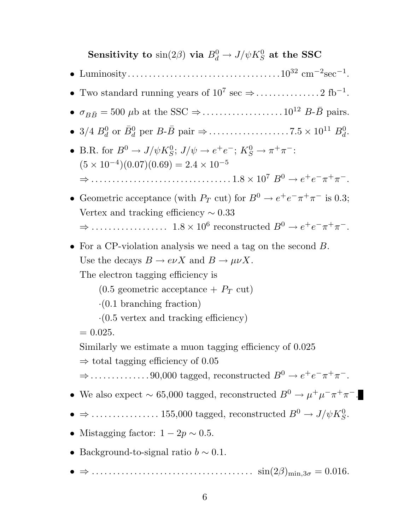**Sensitivity to**  $\sin(2\beta)$  **via**  $B_d^0 \rightarrow J/\psi K_S^0$  at the SSC

- Luminosity....................................10<sup>32</sup> cm−<sup>2</sup>sec−<sup>1</sup>.
- Two standard running years of  $10^7 \text{ sec} \Rightarrow \dots \dots \dots \dots 2 \text{ fb}^{-1}$ .
- <sup>σ</sup>BB¯ = 500 <sup>μ</sup>b at the SSC <sup>⇒</sup>................... <sup>10</sup><sup>12</sup> <sup>B</sup>-B¯ pairs.
- 3/4 <sup>B</sup><sup>0</sup> <sup>d</sup> or B¯<sup>0</sup> <sup>d</sup> per <sup>B</sup>-B¯ pair <sup>⇒</sup>................... <sup>7</sup>.<sup>5</sup> <sup>×</sup> <sup>10</sup><sup>11</sup> <sup>B</sup><sup>0</sup> d.
- B.R. for  $B^0 \to J/\psi K^0_S$ ;  $J/\psi \to e^+e^-$ ;  $K^0_S \to \pi^+\pi^-$ :  $(5 \times 10^{-4})(0.07)(0.69) = 2.4 \times 10^{-5}$ 
	- <sup>⇒</sup> ................................. <sup>1</sup>.<sup>8</sup> <sup>×</sup> <sup>10</sup><sup>7</sup> <sup>B</sup><sup>0</sup> <sup>→</sup> <sup>e</sup>+e−π+π−.
- Geometric acceptance (with  $P_T$  cut) for  $B^0 \to e^+e^-\pi^+\pi^-$  is 0.3; Vertex and tracking efficiency  $\sim 0.33$ 
	- <sup>⇒</sup> .................. <sup>1</sup>.<sup>8</sup> <sup>×</sup> <sup>10</sup><sup>6</sup> reconstructed <sup>B</sup><sup>0</sup> <sup>→</sup> <sup>e</sup>+e−π+π−.
- For a CP-violation analysis we need a tag on the second B. Use the decays  $B \to e\nu X$  and  $B \to \mu\nu X$ .

The electron tagging efficiency is

 $(0.5$  geometric acceptance  $+$   $P_T$  cut)

·(0.1 branching fraction)

 $\cdot$ (0.5 vertex and tracking efficiency)

 $= 0.025.$ 

Similarly we estimate a muon tagging efficiency of 0.025

 $\Rightarrow$  total tagging efficiency of 0.05

 $\Rightarrow$ .....................90,000 tagged, reconstructed  $B^0 \rightarrow e^+e^-\pi^+\pi^-$ .

- We also expect ~ 65,000 tagged, reconstructed  $B^0 \to \mu^+ \mu^- \pi^+ \pi^-$ .
- $\bullet \Rightarrow \ldots \ldots \ldots \ldots \ldots 155,000$  tagged, reconstructed  $B^0 \to J/\psi K^0_S$ .
- Mistagging factor:  $1 2p \sim 0.5$ .
- Background-to-signal ratio  $b \sim 0.1$ .
- $\bullet \Rightarrow \dots \dots \dots \dots \dots \dots \dots \dots \dots \dots \dots \quad \text{sin}(2\beta)_{\text{min},3\sigma} = 0.016.$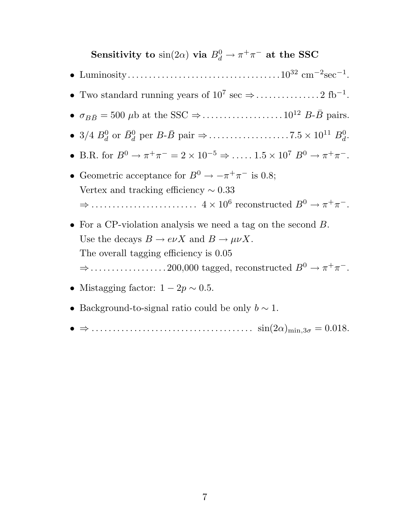# **Sensitivity to**  $\sin(2\alpha)$  **via**  $B_d^0 \to \pi^+\pi^-$  at the SSC

- Luminosity....................................10<sup>32</sup> cm−<sup>2</sup>sec−<sup>1</sup>.
- Two standard running years of  $10^7 \text{ sec} \Rightarrow \dots \dots \dots \dots 2 \text{ fb}^{-1}$ .
- <sup>σ</sup>BB¯ = 500 <sup>μ</sup>b at the SSC <sup>⇒</sup>................... <sup>10</sup><sup>12</sup> <sup>B</sup>-B¯ pairs.
- 3/4 <sup>B</sup><sup>0</sup> <sup>d</sup> or B¯<sup>0</sup> <sup>d</sup> per <sup>B</sup>-B¯ pair <sup>⇒</sup>................... <sup>7</sup>.<sup>5</sup> <sup>×</sup> <sup>10</sup><sup>11</sup> <sup>B</sup><sup>0</sup> d.
- B.R. for  $B^0 \to \pi^+\pi^- = 2 \times 10^{-5} \Rightarrow \dots \dots 1.5 \times 10^7 B^0 \to \pi^+\pi^-$ .
- Geometric acceptance for  $B^0 \to -\pi^+\pi^-$  is 0.8; Vertex and tracking efficiency  $\sim 0.33$ <sup>⇒</sup> ......................... <sup>4</sup> <sup>×</sup> <sup>10</sup><sup>6</sup> reconstructed <sup>B</sup><sup>0</sup> <sup>→</sup> <sup>π</sup>+π−.
- For a CP-violation analysis we need a tag on the second B. Use the decays  $B \to e\nu X$  and  $B \to \mu\nu X$ . The overall tagging efficiency is 0.05 <sup>⇒</sup>.................. 200,000 tagged, reconstructed <sup>B</sup><sup>0</sup> <sup>→</sup> <sup>π</sup>+π−.
- Mistagging factor:  $1 2p \sim 0.5$ .
- Background-to-signal ratio could be only  $b \sim 1$ .
- $\bullet \Rightarrow \dots \dots \dots \dots \dots \dots \dots \dots \dots \dots \dots \quad \sin(2\alpha)_{\min,3\sigma} = 0.018.$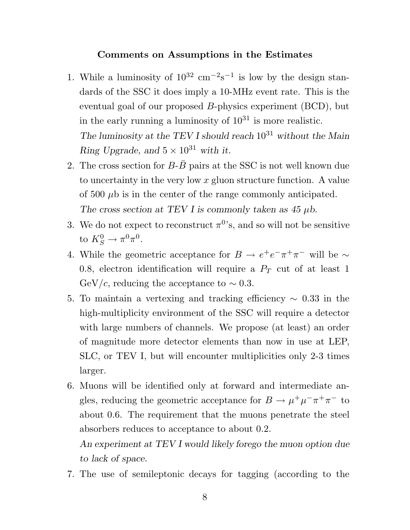#### **Comments on Assumptions in the Estimates**

- 1. While a luminosity of  $10^{32}$  cm<sup>-2</sup>s<sup>-1</sup> is low by the design standards of the SSC it does imply a 10-MHz event rate. This is the eventual goal of our proposed B-physics experiment (BCD), but in the early running a luminosity of  $10^{31}$  is more realistic. *The luminosity at the TEV I should reach* 10<sup>31</sup> *without the Main Ring Upgrade, and*  $5 \times 10^{31}$  *with it.*
- 2. The cross section for  $B-\overline{B}$  pairs at the SSC is not well known due to uncertainty in the very low  $x$  gluon structure function. A value of 500  $\mu$ b is in the center of the range commonly anticipated. *The cross section at TEV I is commonly taken as 45* μ*b.*
- 3. We do not expect to reconstruct  $\pi^0$ 's, and so will not be sensitive to  $K_S^0 \to \pi^0 \pi^0$ .
- 4. While the geometric acceptance for  $B \to e^+e^-\pi^+\pi^-$  will be  $\sim$ 0.8, electron identification will require a  $P_T$  cut of at least 1  $GeV/c$ , reducing the acceptance to  $\sim 0.3$ .
- 5. To maintain a vertexing and tracking efficiency <sup>∼</sup> <sup>0</sup>.33 in the high-multiplicity environment of the SSC will require a detector with large numbers of channels. We propose (at least) an order of magnitude more detector elements than now in use at LEP, SLC, or TEV I, but will encounter multiplicities only 2-3 times larger.
- 6. Muons will be identified only at forward and intermediate angles, reducing the geometric acceptance for  $B \to \mu^+ \mu^- \pi^+ \pi^-$  to about 0.6. The requirement that the muons penetrate the steel absorbers reduces to acceptance to about 0.2.

*An experiment at TEV I would likely forego the muon option due to lack of space.*

7. The use of semileptonic decays for tagging (according to the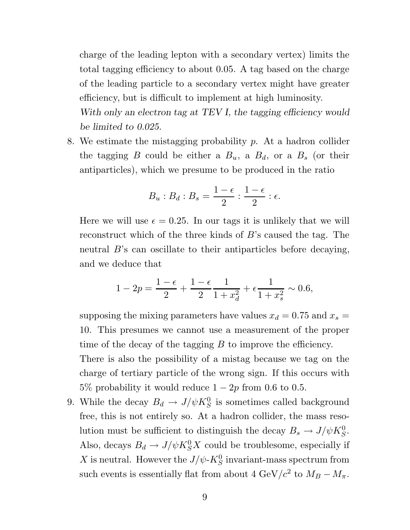charge of the leading lepton with a secondary vertex) limits the total tagging efficiency to about 0.05. A tag based on the charge of the leading particle to a secondary vertex might have greater efficiency, but is difficult to implement at high luminosity.

*With only an electron tag at TEV I, the tagging efficiency would be limited to 0.025.*

8. We estimate the mistagging probability p. At a hadron collider the tagging B could be either a  $B_u$ , a  $B_d$ , or a  $B_s$  (or their antiparticles), which we presume to be produced in the ratio

$$
B_u:B_d:B_s=\frac{1-\epsilon}{2}:\frac{1-\epsilon}{2}:\epsilon.
$$

Here we will use  $\epsilon = 0.25$ . In our tags it is unlikely that we will reconstruct which of the three kinds of B's caused the tag. The neutral B's can oscillate to their antiparticles before decaying, and we deduce that

$$
1 - 2p = \frac{1 - \epsilon}{2} + \frac{1 - \epsilon}{2} \frac{1}{1 + x_d^2} + \epsilon \frac{1}{1 + x_s^2} \sim 0.6,
$$

supposing the mixing parameters have values  $x_d = 0.75$  and  $x_s = \frac{1}{2}$ 10. This presumes we cannot use a measurement of the proper time of the decay of the tagging  $B$  to improve the efficiency. There is also the possibility of a mistag because we tag on the charge of tertiary particle of the wrong sign. If this occurs with 5% probability it would reduce  $1 - 2p$  from 0.6 to 0.5.

9. While the decay  $B_d \to J/\psi K_S^0$  is sometimes called background free, this is not entirely so. At a hadron collider, the mass resolution must be sufficient to distinguish the decay  $B_s \to J/\psi K_S^0$ . Also, decays  $B_d \to J/\psi K_S^0 X$  could be troublesome, especially if X is neutral. However the  $J/\psi$ - $K^0_S$  invariant-mass spectrum from such events is essentially flat from about 4 GeV/ $c^2$  to  $M_B - M_\pi$ .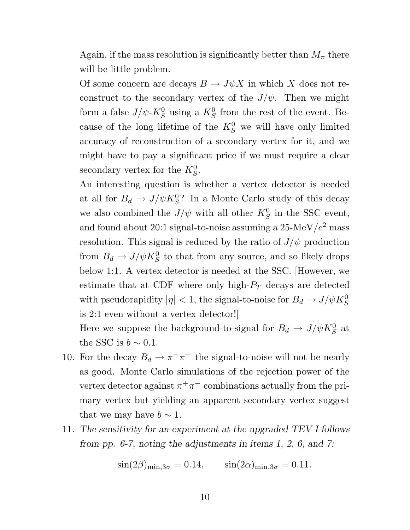Again, if the mass resolution is significantly better than  $M_{\pi}$  there will be little problem.

Of some concern are decays  $B \to J\psi X$  in which X does not reconstruct to the secondary vertex of the  $J/\psi$ . Then we might form a false  $J/\psi$ - $K_S^0$  using a  $K_S^0$  from the rest of the event. Because of the long lifetime of the  $K_S^0$  we will have only limited accuracy of reconstruction of a secondary vertex for it, and we might have to pay a significant price if we must require a clear secondary vertex for the  $K_S^0$ .

An interesting question is whether a vertex detector is needed at all for  $B_d \to J/\psi K_S^0$ ? In a Monte Carlo study of this decay we also combined the  $J/\psi$  with all other  $K_S^0$  in the SSC event, and found about 20:1 signal-to-noise assuming a  $25$ -MeV/ $c<sup>2</sup>$  mass resolution. This signal is reduced by the ratio of  $J/\psi$  production from  $B_d \to J/\psi K_S^0$  to that from any source, and so likely drops below 1:1. A vertex detector is needed at the SSC. [However, we estimate that at CDF where only high- $P_T$  decays are detected with pseudorapidity  $|\eta| < 1$ , the signal-to-noise for  $B_d \to J/\psi K^0_S$ is 2:1 even without a vertex detector!]

Here we suppose the background-to-signal for  $B_d \to J/\psi K^0_S$  at the SSC is  $b \sim 0.1$ .

- 10. For the decay  $B_d \to \pi^+\pi^-$  the signal-to-noise will not be nearly as good. Monte Carlo simulations of the rejection power of the vertex detector against  $\pi^+\pi^-$  combinations actually from the primary vertex but yielding an apparent secondary vertex suggest that we may have  $b \sim 1$ .
- 11. *The sensitivity for an experiment at the upgraded TEV I follows from pp. 6-7, noting the adjustments in items 1, 2, 6, and 7:*

$$
\sin(2\beta)_{\text{min},3\sigma} = 0.14, \qquad \sin(2\alpha)_{\text{min},3\sigma} = 0.11.
$$